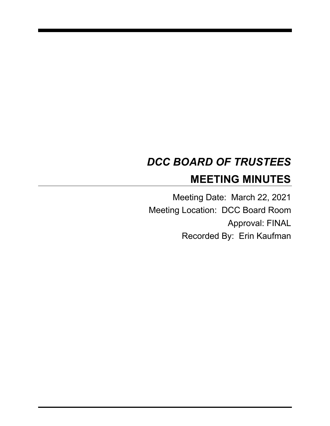# *DCC BOARD OF TRUSTEES* **MEETING MINUTES**

Meeting Date: March 22, 2021 Meeting Location: DCC Board Room Approval: FINAL Recorded By: Erin Kaufman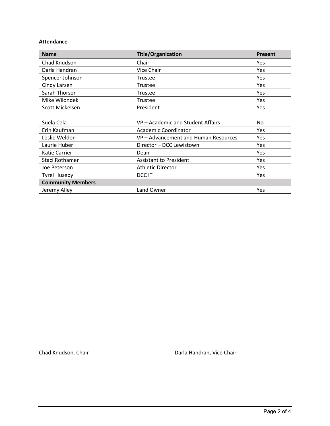#### **Attendance**

| <b>Name</b>              | <b>Title/Organization</b>            | <b>Present</b> |
|--------------------------|--------------------------------------|----------------|
| Chad Knudson             | Chair                                | Yes            |
| Darla Handran            | Vice Chair                           | Yes            |
| Spencer Johnson          | Trustee                              | Yes            |
| Cindy Larsen             | Trustee                              | Yes            |
| Sarah Thorson            | Trustee                              | Yes            |
| Mike Wilondek            | Trustee                              | <b>Yes</b>     |
| Scott Mickelsen          | President                            | <b>Yes</b>     |
|                          |                                      |                |
| Suela Cela               | VP – Academic and Student Affairs    | No.            |
| Erin Kaufman             | Academic Coordinator                 | <b>Yes</b>     |
| Leslie Weldon            | VP - Advancement and Human Resources | Yes            |
| Laurie Huber             | Director - DCC Lewistown             | Yes            |
| Katie Carrier            | Dean                                 | Yes            |
| Staci Rothamer           | <b>Assistant to President</b>        | Yes            |
| Joe Peterson             | <b>Athletic Director</b>             | Yes            |
| <b>Tyrel Huseby</b>      | DCC IT                               | Yes            |
| <b>Community Members</b> |                                      |                |
| Jeremy Alley             | Land Owner                           | Yes            |

Chad Knudson, Chair **Darla Handran, Vice Chair** Darla Handran, Vice Chair

\_\_\_\_\_\_\_\_\_\_\_\_\_\_\_\_\_\_\_\_\_\_\_\_\_\_\_\_\_\_\_\_\_\_ \_\_\_\_\_\_\_\_\_\_\_\_\_\_\_\_\_\_\_\_\_\_\_\_\_\_\_\_\_\_\_\_\_\_\_\_\_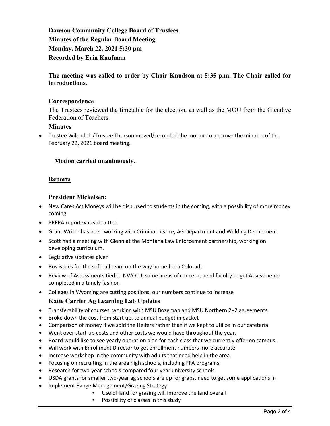**Dawson Community College Board of Trustees Minutes of the Regular Board Meeting Monday, March 22, 2021 5:30 pm Recorded by Erin Kaufman**

# **The meeting was called to order by Chair Knudson at 5:35 p.m. The Chair called for introductions.**

# **Correspondence**

The Trustees reviewed the timetable for the election, as well as the MOU from the Glendive Federation of Teachers.

# **Minutes**

• Trustee Wilondek /Trustee Thorson moved/seconded the motion to approve the minutes of the February 22, 2021 board meeting.

# **Motion carried unanimously.**

# **Reports**

#### **President Mickelsen:**

- New Cares Act Moneys will be disbursed to students in the coming, with a possibility of more money coming.
- PRFRA report was submitted
- Grant Writer has been working with Criminal Justice, AG Department and Welding Department
- Scott had a meeting with Glenn at the Montana Law Enforcement partnership, working on developing curriculum.
- Legislative updates given
- Bus issues for the softball team on the way home from Colorado
- Review of Assessments tied to NWCCU, some areas of concern, need faculty to get Assessments completed in a timely fashion
- Colleges in Wyoming are cutting positions, our numbers continue to increase

# **Katie Carrier Ag Learning Lab Updates**

- Transferability of courses, working with MSU Bozeman and MSU Northern 2+2 agreements
- Broke down the cost from start up, to annual budget in packet
- Comparison of money if we sold the Heifers rather than if we kept to utilize in our cafeteria
- Went over start-up costs and other costs we would have throughout the year.
- Board would like to see yearly operation plan for each class that we currently offer on campus.
- Will work with Enrollment Director to get enrollment numbers more accurate
- Increase workshop in the community with adults that need help in the area.
- Focusing on recruiting in the area high schools, including FFA programs
- Research for two-year schools compared four year university schools
- USDA grants for smaller two-year ag schools are up for grabs, need to get some applications in
- Implement Range Management/Grazing Strategy
	- Use of land for grazing will improve the land overall
	- Possibility of classes in this study